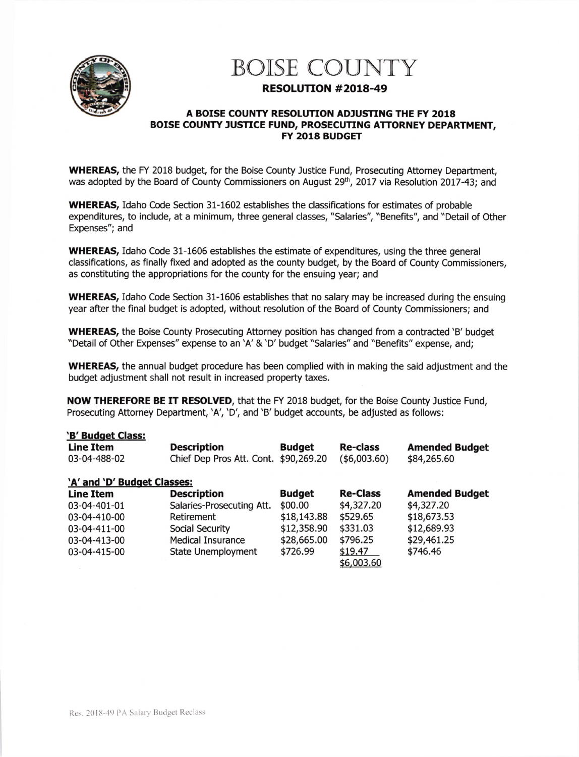

## BOISE COUNTY

## RESOLUTTON #2018-49

## A BOISE COUNTY RESOLUTION ADJUSTING THE FY 2018 BOISE COUNTY JUSTICE FUND, PROSECUTING ATTORNEY DEPARTMENT, FY 2018 BUDGET

WHEREAS, the FY 2018 budget, for the Boise County Justice Fund, Prosecuting Attorney Department, was adopted by the Board of County Commissioners on August 29<sup>th</sup>, 2017 via Resolution 2017-43; and

WHEREAS, Idaho Code Section 31-1602 establishes the classifications for estimates of probable expenditures, to include, at a minimum, three general classes, "Salaries", "Benefits", and "Detail of Other Expenses"; and

WHEREAS, Idaho Code 31-1606 establishes the estimate of expenditures, using the three general classifications, as finally fixed and adopted as the county budget, by the Board of County Commissioners, as constituting the appropriations for the county for the ensuing year; and

WHEREAS, Idaho Code Section 31-1606 establishes that no salary may be increased during the ensuing year after the final budget is adopted, without resolution of the Board of County Commissioners; and

WHEREAS, the Boise County Prosecuting Attorney position has changed from a contracted 'B' budget "Detail of Other Expenses" expense to an 'A'&'D' budget "Salaries" and "Benefits" expense, and;

WHEREAS, the annual budget procedure has been complied with in making the said adjustment and the budget adjustment shall not result in increased property taxes.

NOW THEREFORE BE IT RESOLVED, that the FY 2018 budget, for the Boise County Justice Fund, Prosecuting Attorney Department, 'A', 'D', and 'B' budget accounts, be adjusted as follows:

|  | 'B' Budget Class: |  |
|--|-------------------|--|
|  |                   |  |

| <b>D</b> Dauget Clubbi      |                                       |               |                 |                       |  |  |
|-----------------------------|---------------------------------------|---------------|-----------------|-----------------------|--|--|
| <b>Line Item</b>            | <b>Description</b>                    | <b>Budget</b> | <b>Re-class</b> | <b>Amended Budget</b> |  |  |
| 03-04-488-02                | Chief Dep Pros Att. Cont. \$90,269.20 |               | (\$6,003.60)    | \$84,265.60           |  |  |
| 'A' and 'D' Budget Classes: |                                       |               |                 |                       |  |  |
| <b>Line Item</b>            | <b>Description</b>                    | <b>Budget</b> | <b>Re-Class</b> | <b>Amended Budget</b> |  |  |
| 03-04-401-01                | Salaries-Prosecuting Att.             | \$00.00       | \$4,327.20      | \$4,327.20            |  |  |
| 03-04-410-00                | Retirement                            | \$18,143.88   | \$529.65        | \$18,673.53           |  |  |
| 03-04-411-00                | Social Security                       | \$12,358.90   | \$331.03        | \$12,689.93           |  |  |
| 03-04-413-00                | <b>Medical Insurance</b>              | \$28,665.00   | \$796.25        | \$29,461.25           |  |  |
| 03-04-415-00                | <b>State Unemployment</b>             | \$726.99      | \$19.47         | \$746.46              |  |  |
|                             |                                       |               | \$6,003.60      |                       |  |  |